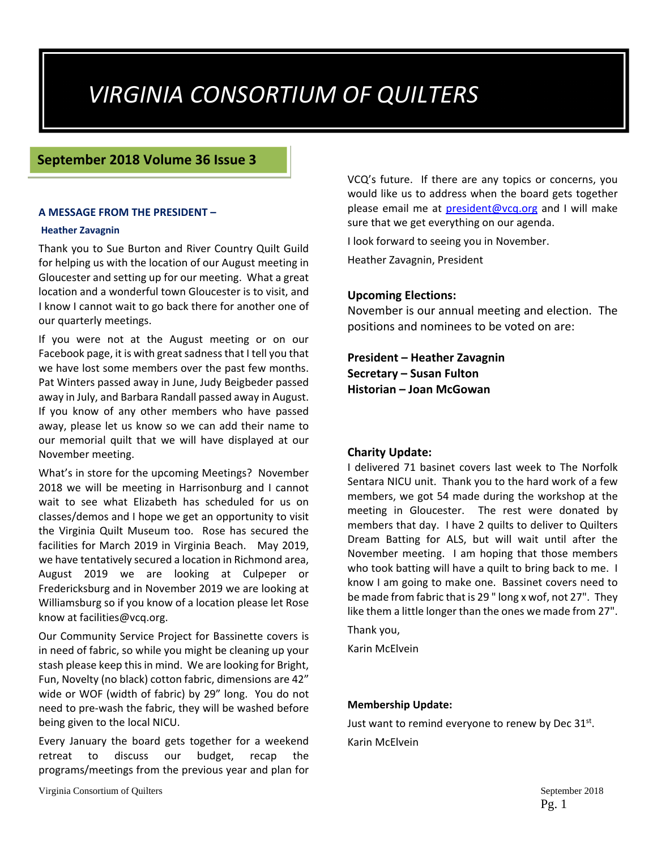# *VIRGINIA CONSORTIUM OF QUILTERS*

#### **September 2018 Volume 36 Issue 3**

#### **A MESSAGE FROM THE PRESIDENT –**

#### **Heather Zavagnin**

Thank you to Sue Burton and River Country Quilt Guild for helping us with the location of our August meeting in Gloucester and setting up for our meeting. What a great location and a wonderful town Gloucester is to visit, and I know I cannot wait to go back there for another one of our quarterly meetings.

If you were not at the August meeting or on our Facebook page, it is with greatsadnessthat I tell you that we have lost some members over the past few months. Pat Winters passed away in June, Judy Beigbeder passed away in July, and Barbara Randall passed away in August. If you know of any other members who have passed away, please let us know so we can add their name to our memorial quilt that we will have displayed at our November meeting.

What's in store for the upcoming Meetings? November 2018 we will be meeting in Harrisonburg and I cannot wait to see what Elizabeth has scheduled for us on classes/demos and I hope we get an opportunity to visit the Virginia Quilt Museum too. Rose has secured the facilities for March 2019 in Virginia Beach. May 2019, we have tentatively secured a location in Richmond area, August 2019 we are looking at Culpeper or Fredericksburg and in November 2019 we are looking at Williamsburg so if you know of a location please let Rose know at facilities@vcq.org.

Our Community Service Project for Bassinette covers is in need of fabric, so while you might be cleaning up your stash please keep this in mind. We are looking for Bright, Fun, Novelty (no black) cotton fabric, dimensions are 42" wide or WOF (width of fabric) by 29" long. You do not need to pre‐wash the fabric, they will be washed before being given to the local NICU.

Every January the board gets together for a weekend retreat to discuss our budget, recap the programs/meetings from the previous year and plan for VCQ's future. If there are any topics or concerns, you would like us to address when the board gets together please email me at president@vcq.org and I will make sure that we get everything on our agenda.

I look forward to seeing you in November.

Heather Zavagnin, President

#### **Upcoming Elections:**

November is our annual meeting and election. The positions and nominees to be voted on are:

**President – Heather Zavagnin Secretary – Susan Fulton Historian – Joan McGowan**

#### **Charity Update:**

I delivered 71 basinet covers last week to The Norfolk Sentara NICU unit. Thank you to the hard work of a few members, we got 54 made during the workshop at the meeting in Gloucester. The rest were donated by members that day. I have 2 quilts to deliver to Quilters Dream Batting for ALS, but will wait until after the November meeting. I am hoping that those members who took batting will have a quilt to bring back to me. I know I am going to make one. Bassinet covers need to be made from fabric that is 29 " long x wof, not 27". They like them a little longer than the ones we made from 27".

Thank you,

Karin McElvein

#### **Membership Update:**

Just want to remind everyone to renew by Dec  $31^{st}$ . Karin McElvein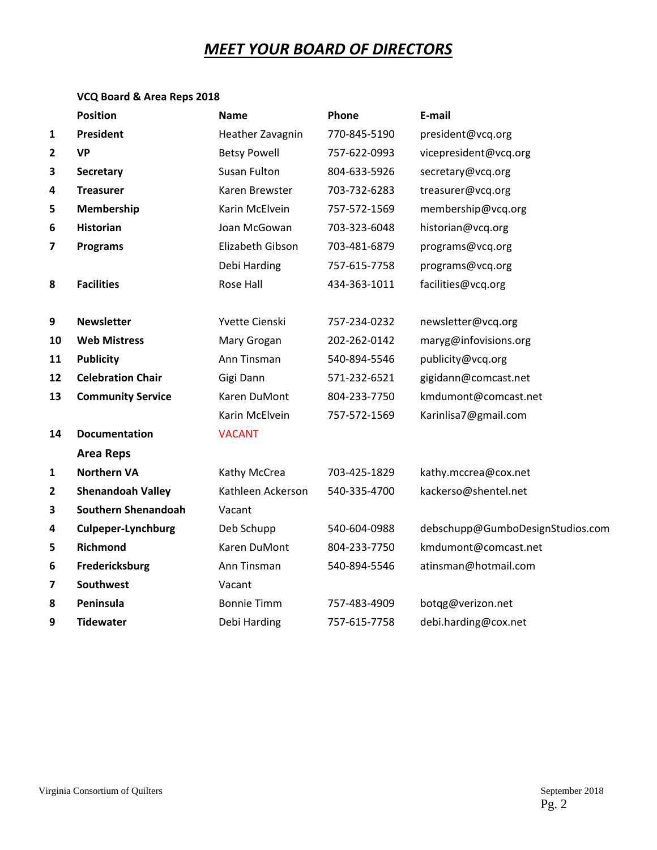# *MEET YOUR BOARD OF DIRECTORS*

# **VCQ Board & Area Reps 2018**

|              | <b>Position</b>            | <b>Name</b>         | Phone        | E-mail                           |
|--------------|----------------------------|---------------------|--------------|----------------------------------|
| 1            | President                  | Heather Zavagnin    | 770-845-5190 | president@vcq.org                |
| $\mathbf{2}$ | <b>VP</b>                  | <b>Betsy Powell</b> | 757-622-0993 | vicepresident@vcq.org            |
| 3            | Secretary                  | Susan Fulton        | 804-633-5926 | secretary@vcq.org                |
| 4            | <b>Treasurer</b>           | Karen Brewster      | 703-732-6283 | treasurer@vcq.org                |
| 5            | Membership                 | Karin McElvein      | 757-572-1569 | membership@vcq.org               |
| 6            | <b>Historian</b>           | Joan McGowan        | 703-323-6048 | historian@vcq.org                |
| 7            | <b>Programs</b>            | Elizabeth Gibson    | 703-481-6879 | programs@vcq.org                 |
|              |                            | Debi Harding        | 757-615-7758 | programs@vcq.org                 |
| 8            | <b>Facilities</b>          | Rose Hall           | 434-363-1011 | facilities@vcq.org               |
|              |                            |                     |              |                                  |
| 9            | <b>Newsletter</b>          | Yvette Cienski      | 757-234-0232 | newsletter@vcq.org               |
| 10           | <b>Web Mistress</b>        | Mary Grogan         | 202-262-0142 | maryg@infovisions.org            |
| 11           | <b>Publicity</b>           | Ann Tinsman         | 540-894-5546 | publicity@vcq.org                |
| 12           | <b>Celebration Chair</b>   | Gigi Dann           | 571-232-6521 | gigidann@comcast.net             |
| 13           | <b>Community Service</b>   | Karen DuMont        | 804-233-7750 | kmdumont@comcast.net             |
|              |                            | Karin McElvein      | 757-572-1569 | Karinlisa7@gmail.com             |
| 14           | <b>Documentation</b>       | <b>VACANT</b>       |              |                                  |
|              | <b>Area Reps</b>           |                     |              |                                  |
| 1            | <b>Northern VA</b>         | Kathy McCrea        | 703-425-1829 | kathy.mccrea@cox.net             |
| 2            | <b>Shenandoah Valley</b>   | Kathleen Ackerson   | 540-335-4700 | kackerso@shentel.net             |
| 3            | <b>Southern Shenandoah</b> | Vacant              |              |                                  |
| 4            | <b>Culpeper-Lynchburg</b>  | Deb Schupp          | 540-604-0988 | debschupp@GumboDesignStudios.com |
| 5            | Richmond                   | Karen DuMont        | 804-233-7750 | kmdumont@comcast.net             |
| 6            | Fredericksburg             | Ann Tinsman         | 540-894-5546 | atinsman@hotmail.com             |
| 7            | Southwest                  | Vacant              |              |                                  |
| 8            | Peninsula                  | <b>Bonnie Timm</b>  | 757-483-4909 | botqg@verizon.net                |
| 9            | <b>Tidewater</b>           | Debi Harding        | 757-615-7758 | debi.harding@cox.net             |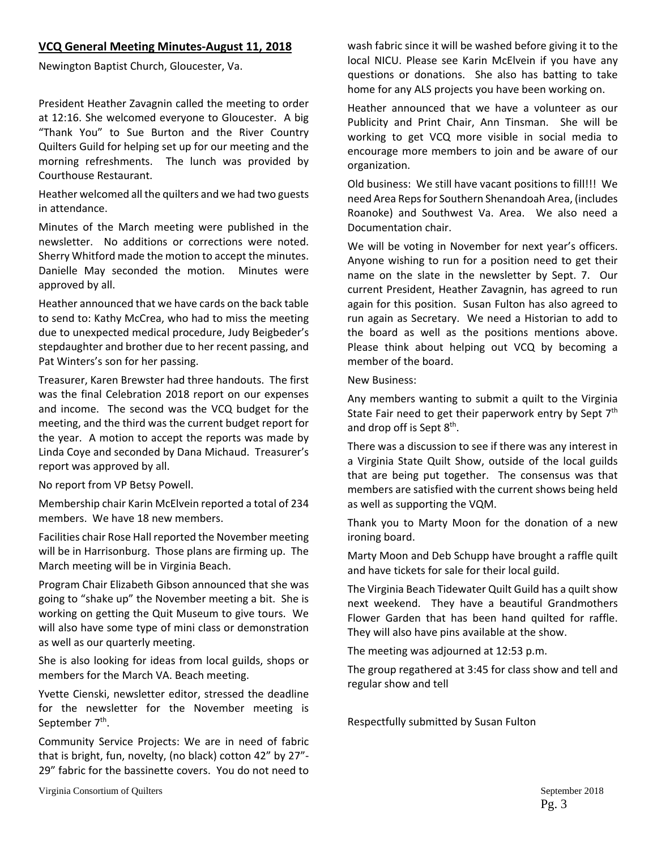#### **VCQ General Meeting Minutes‐August 11, 2018**

Newington Baptist Church, Gloucester, Va.

President Heather Zavagnin called the meeting to order at 12:16. She welcomed everyone to Gloucester. A big "Thank You" to Sue Burton and the River Country Quilters Guild for helping set up for our meeting and the morning refreshments. The lunch was provided by Courthouse Restaurant.

Heather welcomed all the quilters and we had two guests in attendance.

Minutes of the March meeting were published in the newsletter. No additions or corrections were noted. Sherry Whitford made the motion to accept the minutes. Danielle May seconded the motion. Minutes were approved by all.

Heather announced that we have cards on the back table to send to: Kathy McCrea, who had to miss the meeting due to unexpected medical procedure, Judy Beigbeder's stepdaughter and brother due to her recent passing, and Pat Winters's son for her passing.

Treasurer, Karen Brewster had three handouts. The first was the final Celebration 2018 report on our expenses and income. The second was the VCQ budget for the meeting, and the third was the current budget report for the year. A motion to accept the reports was made by Linda Coye and seconded by Dana Michaud. Treasurer's report was approved by all.

No report from VP Betsy Powell.

Membership chair Karin McElvein reported a total of 234 members. We have 18 new members.

Facilities chair Rose Hall reported the November meeting will be in Harrisonburg. Those plans are firming up. The March meeting will be in Virginia Beach.

Program Chair Elizabeth Gibson announced that she was going to "shake up" the November meeting a bit. She is working on getting the Quit Museum to give tours. We will also have some type of mini class or demonstration as well as our quarterly meeting.

She is also looking for ideas from local guilds, shops or members for the March VA. Beach meeting.

Yvette Cienski, newsletter editor, stressed the deadline for the newsletter for the November meeting is September 7<sup>th</sup>.

Community Service Projects: We are in need of fabric that is bright, fun, novelty, (no black) cotton 42" by 27"‐ 29" fabric for the bassinette covers. You do not need to

Virginia Consortium of Quilters  $\sim$  2018

wash fabric since it will be washed before giving it to the local NICU. Please see Karin McElvein if you have any questions or donations. She also has batting to take home for any ALS projects you have been working on.

Heather announced that we have a volunteer as our Publicity and Print Chair, Ann Tinsman. She will be working to get VCQ more visible in social media to encourage more members to join and be aware of our organization.

Old business: We still have vacant positions to fill!!! We need Area Repsfor Southern Shenandoah Area, (includes Roanoke) and Southwest Va. Area. We also need a Documentation chair.

We will be voting in November for next year's officers. Anyone wishing to run for a position need to get their name on the slate in the newsletter by Sept. 7. Our current President, Heather Zavagnin, has agreed to run again for this position. Susan Fulton has also agreed to run again as Secretary. We need a Historian to add to the board as well as the positions mentions above. Please think about helping out VCQ by becoming a member of the board.

New Business:

Any members wanting to submit a quilt to the Virginia State Fair need to get their paperwork entry by Sept 7<sup>th</sup> and drop off is Sept 8<sup>th</sup>.

There was a discussion to see if there was any interest in a Virginia State Quilt Show, outside of the local guilds that are being put together. The consensus was that members are satisfied with the current shows being held as well as supporting the VQM.

Thank you to Marty Moon for the donation of a new ironing board.

Marty Moon and Deb Schupp have brought a raffle quilt and have tickets for sale for their local guild.

The Virginia Beach Tidewater Quilt Guild has a quilt show next weekend. They have a beautiful Grandmothers Flower Garden that has been hand quilted for raffle. They will also have pins available at the show.

The meeting was adjourned at 12:53 p.m.

The group regathered at 3:45 for class show and tell and regular show and tell

Respectfully submitted by Susan Fulton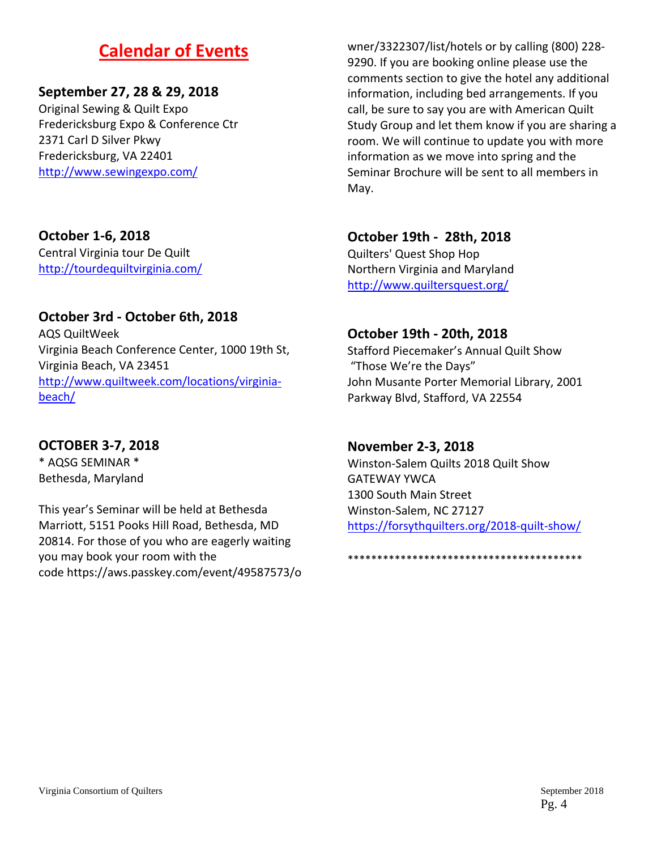# **Calendar of Events**

# **September 27, 28 & 29, 2018**

Original Sewing & Quilt Expo Fredericksburg Expo & Conference Ctr 2371 Carl D Silver Pkwy Fredericksburg, VA 22401 http://www.sewingexpo.com/

## **October 1‐6, 2018**

Central Virginia tour De Quilt http://tourdequiltvirginia.com/

# **October 3rd ‐ October 6th, 2018**

AQS QuiltWeek Virginia Beach Conference Center, 1000 19th St, Virginia Beach, VA 23451 http://www.quiltweek.com/locations/virginia‐ beach/

# **OCTOBER 3‐7, 2018**

\* AQSG SEMINAR \* Bethesda, Maryland

This year's Seminar will be held at Bethesda Marriott, 5151 Pooks Hill Road, Bethesda, MD 20814. For those of you who are eagerly waiting you may book your room with the code https://aws.passkey.com/event/49587573/o

wner/3322307/list/hotels or by calling (800) 228‐ 9290. If you are booking online please use the comments section to give the hotel any additional information, including bed arrangements. If you call, be sure to say you are with American Quilt Study Group and let them know if you are sharing a room. We will continue to update you with more information as we move into spring and the Seminar Brochure will be sent to all members in May.

# **October 19th ‐ 28th, 2018**

Quilters' Quest Shop Hop Northern Virginia and Maryland http://www.quiltersquest.org/

# **October 19th ‐ 20th, 2018**

Stafford Piecemaker's Annual Quilt Show "Those We're the Days" John Musante Porter Memorial Library, 2001 Parkway Blvd, Stafford, VA 22554

## **November 2‐3, 2018**

Winston‐Salem Quilts 2018 Quilt Show GATEWAY YWCA 1300 South Main Street Winston‐Salem, NC 27127 https://forsythquilters.org/2018‐quilt‐show/

\*\*\*\*\*\*\*\*\*\*\*\*\*\*\*\*\*\*\*\*\*\*\*\*\*\*\*\*\*\*\*\*\*\*\*\*\*\*\*\*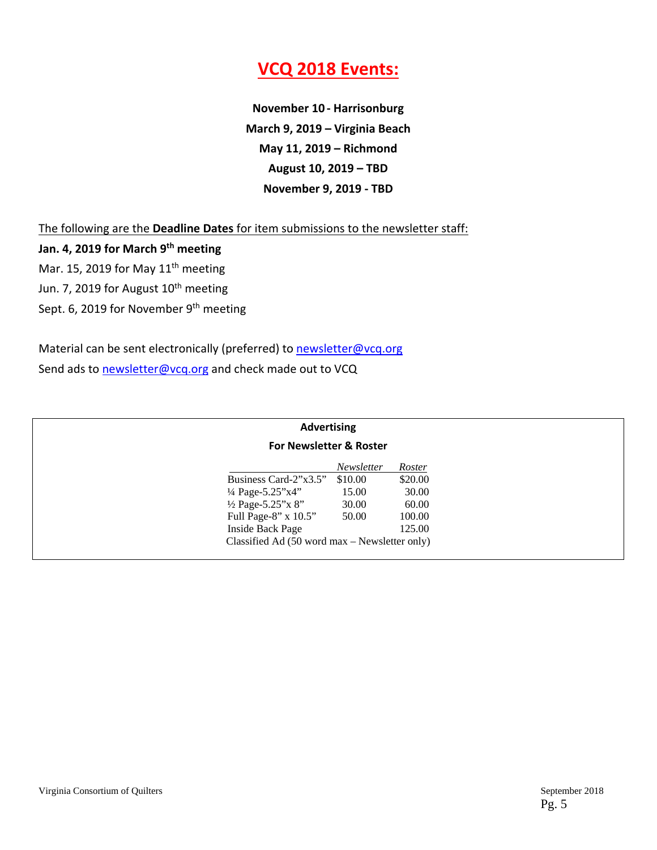# **VCQ 2018 Events:**

**November 10 ‐ Harrisonburg March 9, 2019 – Virginia Beach May 11, 2019 – Richmond August 10, 2019 – TBD November 9, 2019 ‐ TBD**

The following are the **Deadline Dates** for item submissions to the newsletter staff:

**Jan. 4, 2019 for March 9th meeting** Mar. 15, 2019 for May  $11<sup>th</sup>$  meeting Jun. 7, 2019 for August 10<sup>th</sup> meeting Sept. 6, 2019 for November 9<sup>th</sup> meeting

Material can be sent electronically (preferred) to newsletter@vcq.org Send ads to newsletter@vcq.org and check made out to VCQ

| <b>Advertising</b>                                       |                   |         |
|----------------------------------------------------------|-------------------|---------|
| <b>For Newsletter &amp; Roster</b>                       |                   |         |
|                                                          | <b>Newsletter</b> | Roster  |
| Business Card-2"x3.5"                                    | \$10.00           | \$20.00 |
| $\frac{1}{4}$ Page-5.25"x4"                              | 15.00             | 30.00   |
| $\frac{1}{2}$ Page-5.25"x 8"                             | 30.00             | 60.00   |
| Full Page-8" x 10.5"                                     | 50.00             | 100.00  |
| Inside Back Page                                         |                   | 125.00  |
| Classified Ad $(50 \text{ word } max -$ Newsletter only) |                   |         |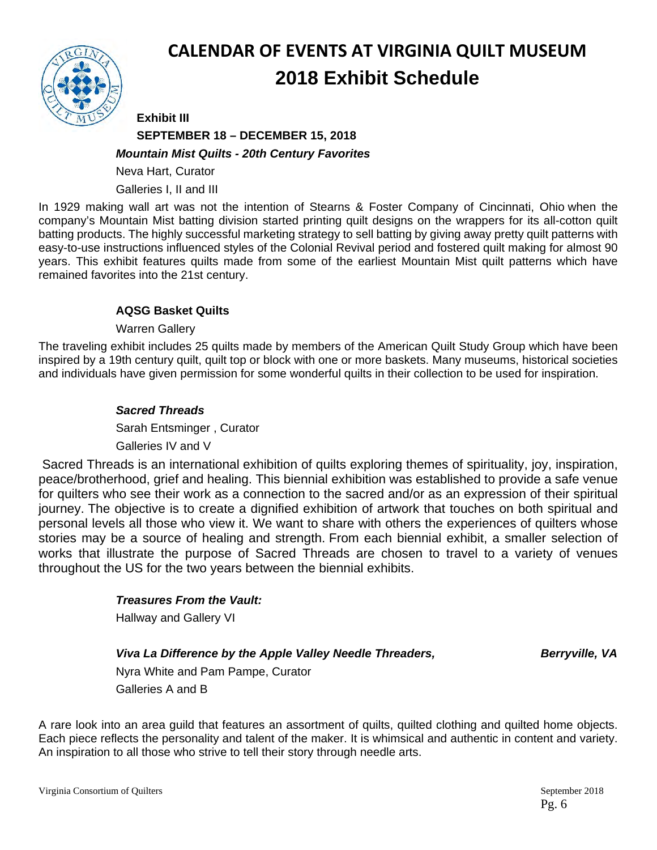

# **CALENDAR OF EVENTS AT VIRGINIA QUILT MUSEUM 2018 Exhibit Schedule**

# **Exhibit III SEPTEMBER 18 – DECEMBER 15, 2018**  *Mountain Mist Quilts - 20th Century Favorites*

Neva Hart, Curator

Galleries I, II and III

In 1929 making wall art was not the intention of Stearns & Foster Company of Cincinnati, Ohio when the company's Mountain Mist batting division started printing quilt designs on the wrappers for its all-cotton quilt batting products. The highly successful marketing strategy to sell batting by giving away pretty quilt patterns with easy-to-use instructions influenced styles of the Colonial Revival period and fostered quilt making for almost 90 years. This exhibit features quilts made from some of the earliest Mountain Mist quilt patterns which have remained favorites into the 21st century.

# **AQSG Basket Quilts**

Warren Gallery

The traveling exhibit includes 25 quilts made by members of the American Quilt Study Group which have been inspired by a 19th century quilt, quilt top or block with one or more baskets. Many museums, historical societies and individuals have given permission for some wonderful quilts in their collection to be used for inspiration.

# *Sacred Threads*

Sarah Entsminger , Curator Galleries IV and V

 Sacred Threads is an international exhibition of quilts exploring themes of spirituality, joy, inspiration, peace/brotherhood, grief and healing. This biennial exhibition was established to provide a safe venue for quilters who see their work as a connection to the sacred and/or as an expression of their spiritual journey. The objective is to create a dignified exhibition of artwork that touches on both spiritual and personal levels all those who view it. We want to share with others the experiences of quilters whose stories may be a source of healing and strength. From each biennial exhibit, a smaller selection of works that illustrate the purpose of Sacred Threads are chosen to travel to a variety of venues throughout the US for the two years between the biennial exhibits.

## *Treasures From the Vault:*

**Hallway and Gallery VI** 

## *Viva La Difference by the Apple Valley Needle Threaders, Berryville, VA <i>Berryville, VA*

Nyra White and Pam Pampe, Curator Galleries A and B

A rare look into an area guild that features an assortment of quilts, quilted clothing and quilted home objects. Each piece reflects the personality and talent of the maker. It is whimsical and authentic in content and variety. An inspiration to all those who strive to tell their story through needle arts.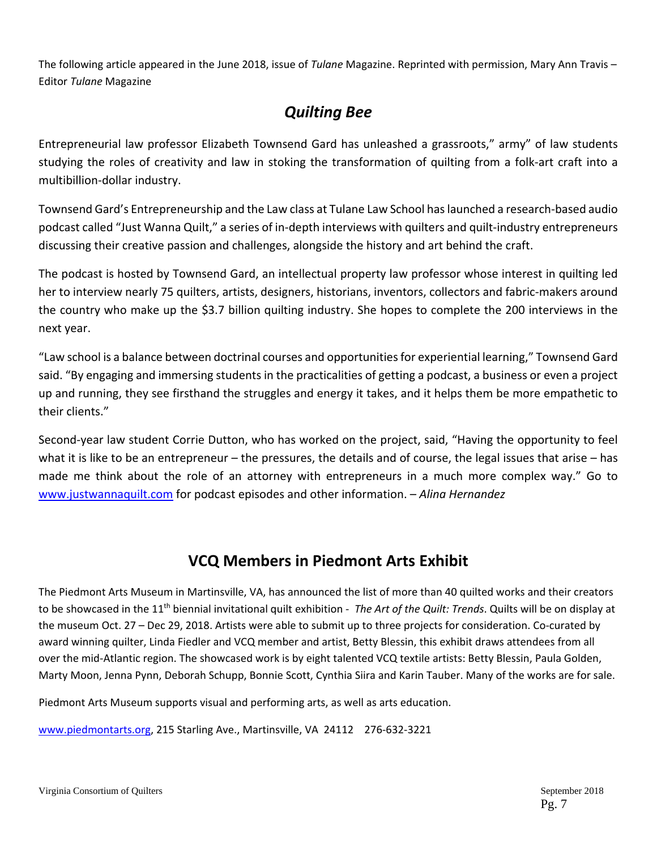The following article appeared in the June 2018, issue of *Tulane* Magazine. Reprinted with permission, Mary Ann Travis – Editor *Tulane* Magazine

# *Quilting Bee*

Entrepreneurial law professor Elizabeth Townsend Gard has unleashed a grassroots," army" of law students studying the roles of creativity and law in stoking the transformation of quilting from a folk‐art craft into a multibillion‐dollar industry.

Townsend Gard's Entrepreneurship and the Law class at Tulane Law School haslaunched a research‐based audio podcast called "Just Wanna Quilt," a series of in-depth interviews with quilters and quilt-industry entrepreneurs discussing their creative passion and challenges, alongside the history and art behind the craft.

The podcast is hosted by Townsend Gard, an intellectual property law professor whose interest in quilting led her to interview nearly 75 quilters, artists, designers, historians, inventors, collectors and fabric‐makers around the country who make up the \$3.7 billion quilting industry. She hopes to complete the 200 interviews in the next year.

"Law school is a balance between doctrinal courses and opportunitiesfor experiential learning," Townsend Gard said. "By engaging and immersing students in the practicalities of getting a podcast, a business or even a project up and running, they see firsthand the struggles and energy it takes, and it helps them be more empathetic to their clients."

Second‐year law student Corrie Dutton, who has worked on the project, said, "Having the opportunity to feel what it is like to be an entrepreneur – the pressures, the details and of course, the legal issues that arise – has made me think about the role of an attorney with entrepreneurs in a much more complex way." Go to www.justwannaquilt.com for podcast episodes and other information. – *Alina Hernandez*

# **VCQ Members in Piedmont Arts Exhibit**

The Piedmont Arts Museum in Martinsville, VA, has announced the list of more than 40 quilted works and their creators to be showcased in the 11th biennial invitational quilt exhibition ‐ *The Art of the Quilt: Trends*. Quilts will be on display at the museum Oct. 27 – Dec 29, 2018. Artists were able to submit up to three projects for consideration. Co-curated by award winning quilter, Linda Fiedler and VCQ member and artist, Betty Blessin, this exhibit draws attendees from all over the mid‐Atlantic region. The showcased work is by eight talented VCQ textile artists: Betty Blessin, Paula Golden, Marty Moon, Jenna Pynn, Deborah Schupp, Bonnie Scott, Cynthia Siira and Karin Tauber. Many of the works are for sale.

Piedmont Arts Museum supports visual and performing arts, as well as arts education.

www.piedmontarts.org, 215 Starling Ave., Martinsville, VA 24112 276‐632‐3221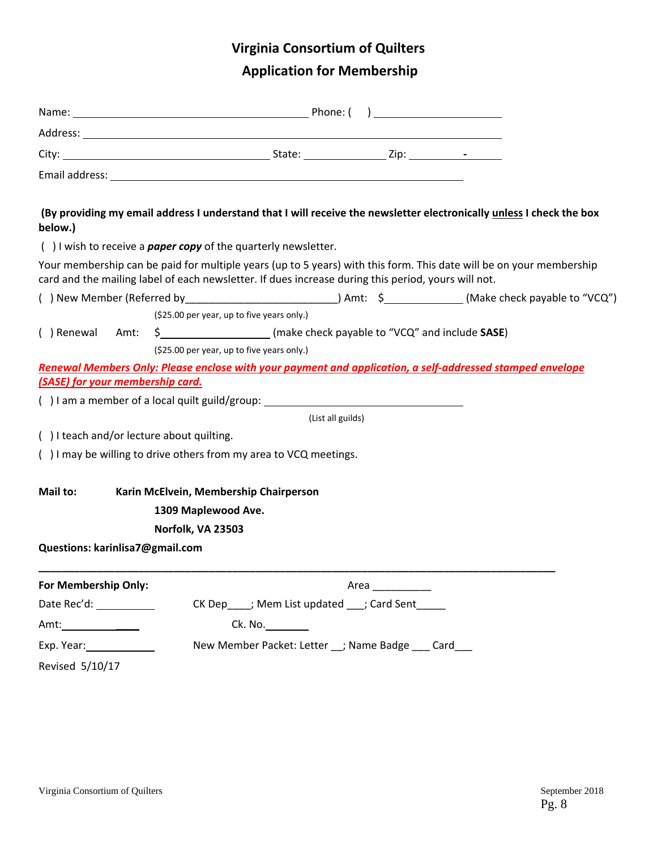# **Virginia Consortium of Quilters**

# **Application for Membership**

| (By providing my email address I understand that I will receive the newsletter electronically unless I check the box<br>below.)                                                                                            |                                            |                                                                            |                   |  |  |  |  |
|----------------------------------------------------------------------------------------------------------------------------------------------------------------------------------------------------------------------------|--------------------------------------------|----------------------------------------------------------------------------|-------------------|--|--|--|--|
| $( )$ I wish to receive a <b>paper copy</b> of the quarterly newsletter.                                                                                                                                                   |                                            |                                                                            |                   |  |  |  |  |
| Your membership can be paid for multiple years (up to 5 years) with this form. This date will be on your membership<br>card and the mailing label of each newsletter. If dues increase during this period, yours will not. |                                            |                                                                            |                   |  |  |  |  |
|                                                                                                                                                                                                                            |                                            |                                                                            |                   |  |  |  |  |
|                                                                                                                                                                                                                            | (\$25.00 per year, up to five years only.) |                                                                            |                   |  |  |  |  |
| () Renewal Amt:                                                                                                                                                                                                            |                                            | \$__________________________(make check payable to "VCQ" and include SASE) |                   |  |  |  |  |
|                                                                                                                                                                                                                            | (\$25.00 per year, up to five years only.) |                                                                            |                   |  |  |  |  |
| Renewal Members Only: Please enclose with your payment and application, a self-addressed stamped envelope                                                                                                                  |                                            |                                                                            |                   |  |  |  |  |
| (SASE) for your membership card.                                                                                                                                                                                           |                                            |                                                                            |                   |  |  |  |  |
| () I am a member of a local quilt guild/group: _________________________________                                                                                                                                           |                                            |                                                                            |                   |  |  |  |  |
|                                                                                                                                                                                                                            |                                            |                                                                            | (List all guilds) |  |  |  |  |
| () I teach and/or lecture about quilting.                                                                                                                                                                                  |                                            |                                                                            |                   |  |  |  |  |
| () I may be willing to drive others from my area to VCQ meetings.                                                                                                                                                          |                                            |                                                                            |                   |  |  |  |  |
| Mail to:                                                                                                                                                                                                                   |                                            |                                                                            |                   |  |  |  |  |
|                                                                                                                                                                                                                            |                                            | Karin McElvein, Membership Chairperson                                     |                   |  |  |  |  |
|                                                                                                                                                                                                                            | 1309 Maplewood Ave.                        |                                                                            |                   |  |  |  |  |
|                                                                                                                                                                                                                            | Norfolk, VA 23503                          |                                                                            |                   |  |  |  |  |
| Questions: karinlisa7@gmail.com                                                                                                                                                                                            |                                            |                                                                            |                   |  |  |  |  |
| For Membership Only:                                                                                                                                                                                                       |                                            |                                                                            |                   |  |  |  |  |
| Date Rec'd: ___________                                                                                                                                                                                                    |                                            | CK Dep ____; Mem List updated ___; Card Sent _____                         |                   |  |  |  |  |
| Amt: $\qquad \qquad$                                                                                                                                                                                                       |                                            | Ck. No.                                                                    |                   |  |  |  |  |
| Exp. Year: 2008                                                                                                                                                                                                            |                                            | New Member Packet: Letter __; Name Badge ___ Card___                       |                   |  |  |  |  |
| Revised 5/10/17                                                                                                                                                                                                            |                                            |                                                                            |                   |  |  |  |  |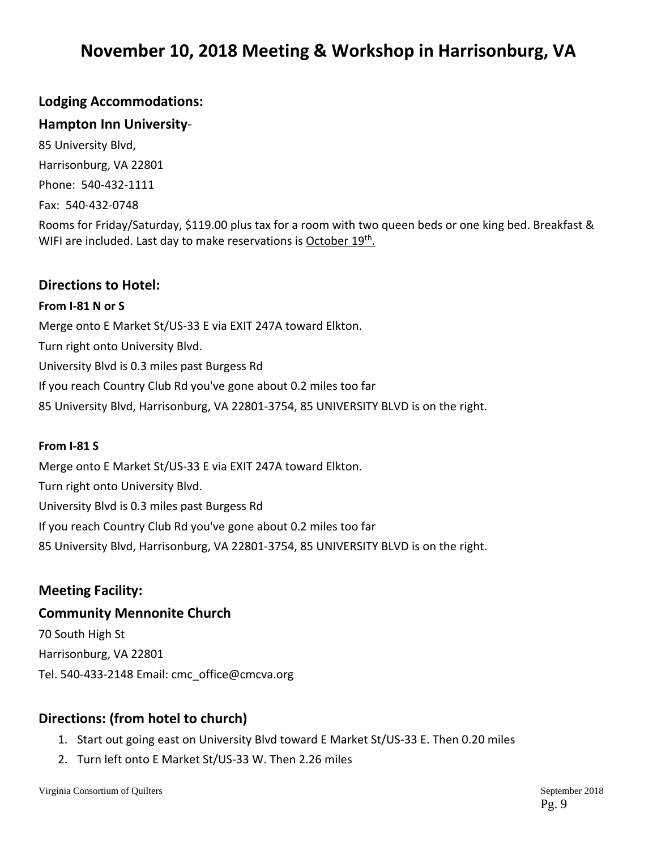# **November 10, 2018 Meeting & Workshop in Harrisonburg, VA**

# **Lodging Accommodations:**

## **Hampton Inn University**‐

85 University Blvd, Harrisonburg, VA 22801 Phone: 540‐432‐1111 Fax: 540‐432‐0748

Rooms for Friday/Saturday, \$119.00 plus tax for a room with two queen beds or one king bed. Breakfast & WIFI are included. Last day to make reservations is October 19<sup>th</sup>.

#### **Directions to Hotel:**

#### **From I‐81 N or S**

Merge onto E Market St/US‐33 E via EXIT 247A toward Elkton. Turn right onto University Blvd. University Blvd is 0.3 miles past Burgess Rd

If you reach Country Club Rd you've gone about 0.2 miles too far

85 University Blvd, Harrisonburg, VA 22801-3754, 85 UNIVERSITY BLVD is on the right.

#### **From I‐81 S**

Merge onto E Market St/US‐33 E via EXIT 247A toward Elkton. Turn right onto University Blvd. University Blvd is 0.3 miles past Burgess Rd If you reach Country Club Rd you've gone about 0.2 miles too far 85 University Blvd, Harrisonburg, VA 22801‐3754, 85 UNIVERSITY BLVD is on the right.

## **Meeting Facility:**

## **Community Mennonite Church**

70 South High St Harrisonburg, VA 22801 Tel. 540‐433‐2148 Email: cmc\_office@cmcva.org

## **Directions: (from hotel to church)**

- 1. Start out going east on University Blvd toward E Market St/US‐33 E. Then 0.20 miles
- 2. Turn left onto E Market St/US‐33 W. Then 2.26 miles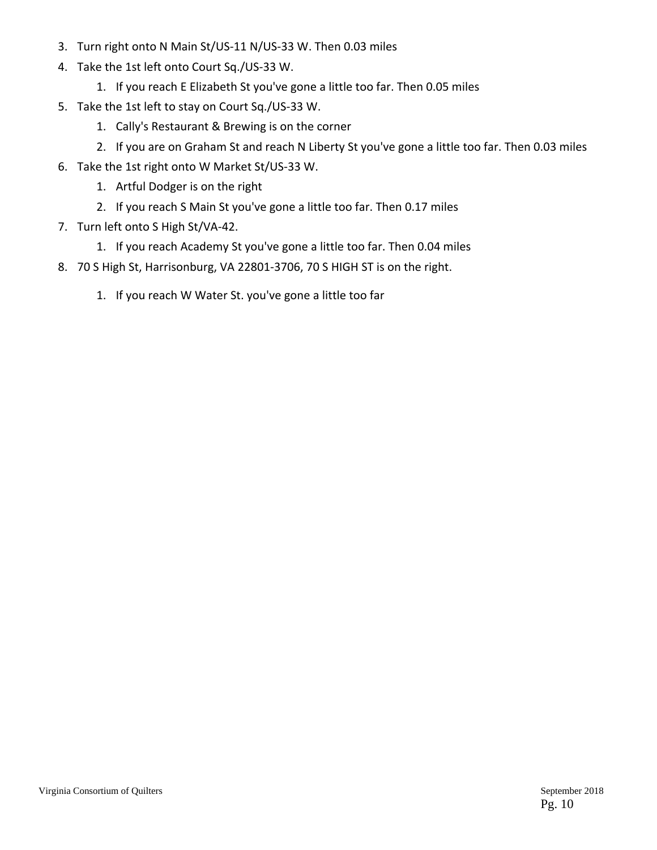- 3. Turn right onto N Main St/US‐11 N/US‐33 W. Then 0.03 miles
- 4. Take the 1st left onto Court Sq./US‐33 W.
	- 1. If you reach E Elizabeth St you've gone a little too far. Then 0.05 miles
- 5. Take the 1st left to stay on Court Sq./US-33 W.
	- 1. Cally's Restaurant & Brewing is on the corner
	- 2. If you are on Graham St and reach N Liberty St you've gone a little too far. Then 0.03 miles
- 6. Take the 1st right onto W Market St/US‐33 W.
	- 1. Artful Dodger is on the right
	- 2. If you reach S Main St you've gone a little too far. Then 0.17 miles
- 7. Turn left onto S High St/VA‐42.
	- 1. If you reach Academy St you've gone a little too far. Then 0.04 miles
- 8. 70 S High St, Harrisonburg, VA 22801‐3706, 70 S HIGH ST is on the right.
	- 1. If you reach W Water St. you've gone a little too far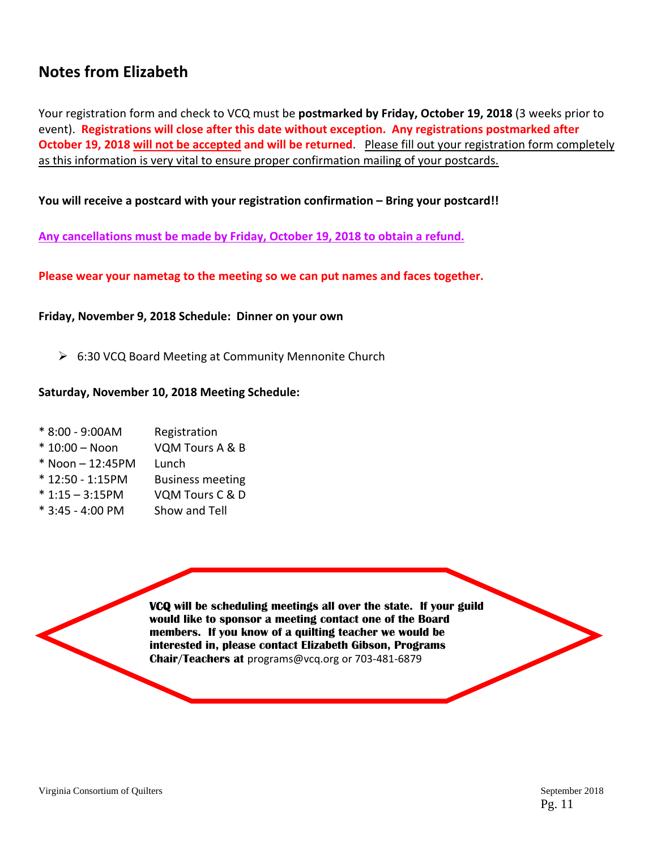# **Notes from Elizabeth**

Your registration form and check to VCQ must be **postmarked by Friday, October 19, 2018** (3 weeks prior to event). **Registrations will close after this date without exception. Any registrations postmarked after October 19, 2018 will not be accepted and will be returned**. Please fill out your registration form completely as this information is very vital to ensure proper confirmation mailing of your postcards.

#### **You will receive a postcard with your registration confirmation – Bring your postcard!!**

**Any cancellations must be made by Friday, October 19, 2018 to obtain a refund.**

**Please wear your nametag to the meeting so we can put names and faces together.**

**Friday, November 9, 2018 Schedule: Dinner on your own**

▶ 6:30 VCQ Board Meeting at Community Mennonite Church

#### **Saturday, November 10, 2018 Meeting Schedule:**

- \* 8:00 ‐ 9:00AM Registration
- \* 10:00 Noon VQM Tours A & B
- $*$  Noon  $-$  12:45PM Lunch
- \* 12:50 ‐ 1:15PM Business meeting
- \* 1:15 3:15PM VQM Tours C & D
- \* 3:45 ‐ 4:00 PM Show and Tell

**VCQ will be scheduling meetings all over the state. If your guild would like to sponsor a meeting contact one of the Board members. If you know of a quilting teacher we would be interested in, please contact Elizabeth Gibson, Programs Chair/Teachers at** programs@vcq.org or 703‐481‐6879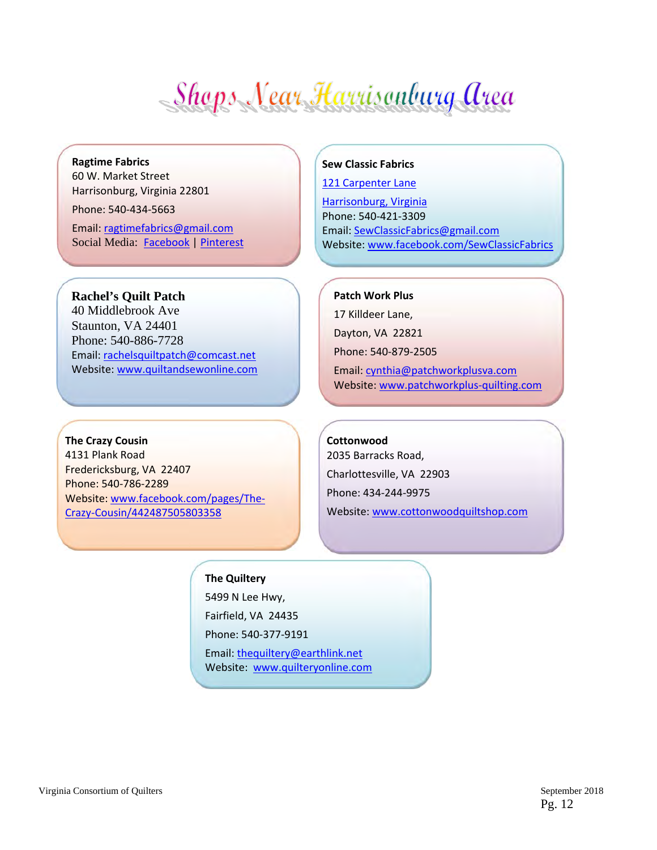- Shops Near Harrisonburg Area

#### **Ragtime Fabrics** 60 W. Market Street

Harrisonburg, Virginia 22801

Phone: 540‐434‐5663

Email: ragtimefabrics@gmail.com Social Media:Facebook | Pinterest

#### **Rachel's Quilt Patch**

40 Middlebrook Ave Staunton, VA 24401 Phone: 540-886-7728 Email: rachelsquiltpatch@comcast.net Website: www.quiltandsewonline.com

**The Crazy Cousin** 4131 Plank Road Fredericksburg, VA 22407 Phone: 540‐786‐2289 Website: www.facebook.com/pages/The‐ Crazy‐Cousin/442487505803358

#### **Sew Classic Fabrics**

121 Carpenter Lane

Harrisonburg, Virginia Phone: 540‐421‐3309 Email: SewClassicFabrics@gmail.com Website: www.facebook.com/SewClassicFabrics

#### **Patch Work Plus**

17 Killdeer Lane,

Dayton, VA 22821

Phone: 540‐879‐2505

Email: cynthia@patchworkplusva.com Website: www.patchworkplus-quilting.com

## **Cottonwood**

2035 Barracks Road, Charlottesville, VA 22903 Phone: 434‐244‐9975 Website: www.cottonwoodquiltshop.com

## **The Quiltery**

5499 N Lee Hwy,

Fairfield, VA 24435

Phone: 540‐377‐9191

Email: thequiltery@earthlink.net Website: www.quilteryonline.com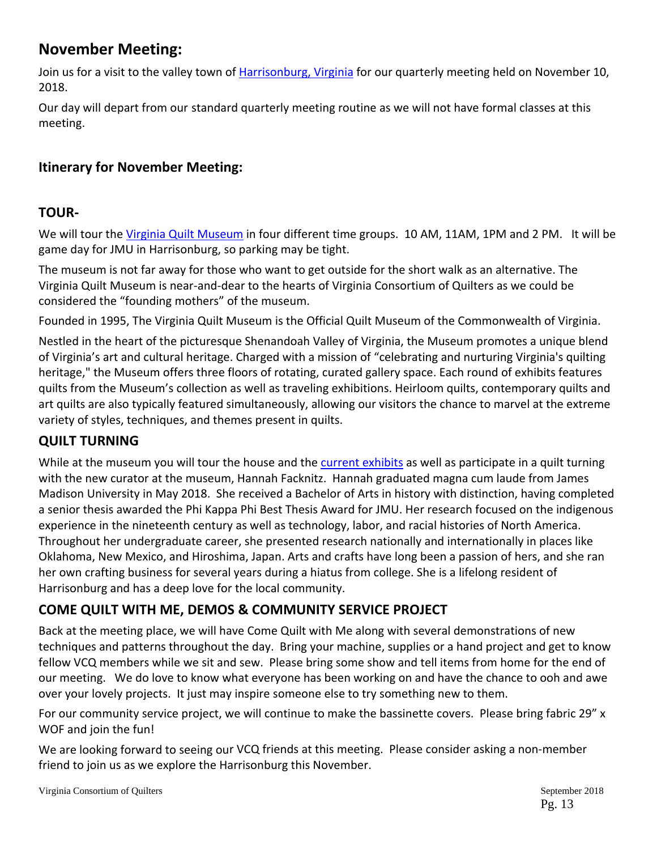# **November Meeting:**

Join us for a visit to the valley town of Harrisonburg, Virginia for our quarterly meeting held on November 10, 2018.

Our day will depart from our standard quarterly meeting routine as we will not have formal classes at this meeting.

# **Itinerary for November Meeting:**

# **TOUR‐**

We will tour the Virginia Quilt Museum in four different time groups. 10 AM, 11AM, 1PM and 2 PM. It will be game day for JMU in Harrisonburg, so parking may be tight.

The museum is not far away for those who want to get outside for the short walk as an alternative. The Virginia Quilt Museum is near‐and‐dear to the hearts of Virginia Consortium of Quilters as we could be considered the "founding mothers" of the museum.

Founded in 1995, The Virginia Quilt Museum is the Official Quilt Museum of the Commonwealth of Virginia.

Nestled in the heart of the picturesque Shenandoah Valley of Virginia, the Museum promotes a unique blend of Virginia's art and cultural heritage. Charged with a mission of "celebrating and nurturing Virginia's quilting heritage," the Museum offers three floors of rotating, curated gallery space. Each round of exhibits features quilts from the Museum's collection as well as traveling exhibitions. Heirloom quilts, contemporary quilts and art quilts are also typically featured simultaneously, allowing our visitors the chance to marvel at the extreme variety of styles, techniques, and themes present in quilts.

# **QUILT TURNING**

While at the museum you will tour the house and the current exhibits as well as participate in a quilt turning with the new curator at the museum, Hannah Facknitz. Hannah graduated magna cum laude from James Madison University in May 2018. She received a Bachelor of Arts in history with distinction, having completed a senior thesis awarded the Phi Kappa Phi Best Thesis Award for JMU. Her research focused on the indigenous experience in the nineteenth century as well as technology, labor, and racial histories of North America. Throughout her undergraduate career, she presented research nationally and internationally in places like Oklahoma, New Mexico, and Hiroshima, Japan. Arts and crafts have long been a passion of hers, and she ran her own crafting business for several years during a hiatus from college. She is a lifelong resident of Harrisonburg and has a deep love for the local community.

# **COME QUILT WITH ME, DEMOS & COMMUNITY SERVICE PROJECT**

Back at the meeting place, we will have Come Quilt with Me along with several demonstrations of new techniques and patterns throughout the day. Bring your machine, supplies or a hand project and get to know fellow VCQ members while we sit and sew. Please bring some show and tell items from home for the end of our meeting. We do love to know what everyone has been working on and have the chance to ooh and awe over your lovely projects. It just may inspire someone else to try something new to them.

For our community service project, we will continue to make the bassinette covers. Please bring fabric 29" x WOF and join the fun!

We are looking forward to seeing our VCQ friends at this meeting. Please consider asking a non-member friend to join us as we explore the Harrisonburg this November.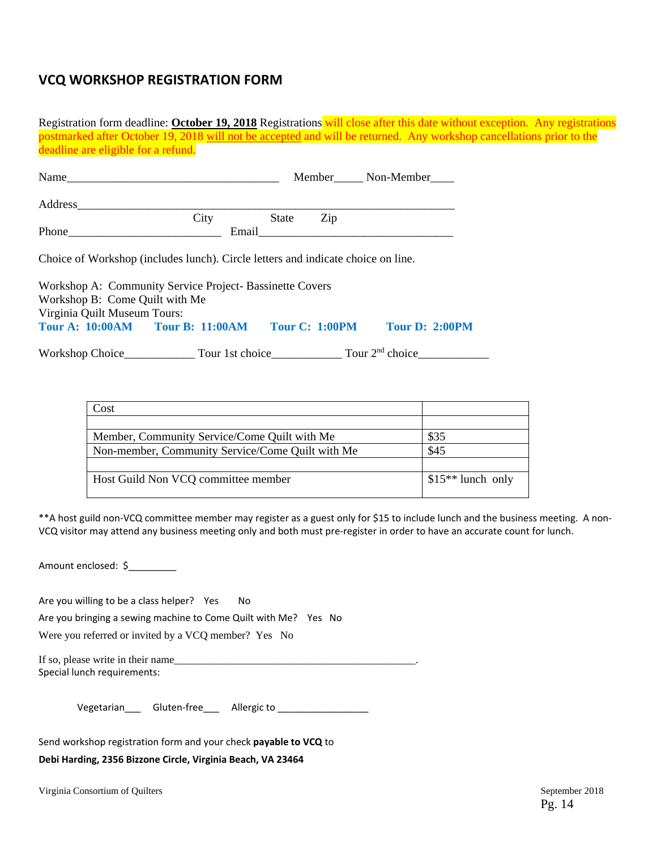# **VCQ WORKSHOP REGISTRATION FORM**

| Registration form deadline: October 19, 2018 Registrations will close after this date without exception. Any registrations |      |                                                                                                                                                                                                                               |     |                      |  |
|----------------------------------------------------------------------------------------------------------------------------|------|-------------------------------------------------------------------------------------------------------------------------------------------------------------------------------------------------------------------------------|-----|----------------------|--|
| postmarked after October 19, 2018 will not be accepted and will be returned. Any workshop cancellations prior to the       |      |                                                                                                                                                                                                                               |     |                      |  |
| deadline are eligible for a refund.                                                                                        |      |                                                                                                                                                                                                                               |     |                      |  |
|                                                                                                                            |      |                                                                                                                                                                                                                               |     |                      |  |
|                                                                                                                            |      |                                                                                                                                                                                                                               |     | Member<br>Non-Member |  |
|                                                                                                                            |      |                                                                                                                                                                                                                               |     |                      |  |
| Address                                                                                                                    |      |                                                                                                                                                                                                                               |     |                      |  |
|                                                                                                                            | City | State                                                                                                                                                                                                                         | Zip |                      |  |
| <b>Phone</b> Phone                                                                                                         |      | Email and the contract of the contract of the contract of the contract of the contract of the contract of the contract of the contract of the contract of the contract of the contract of the contract of the contract of the |     |                      |  |
|                                                                                                                            |      |                                                                                                                                                                                                                               |     |                      |  |
| Choice of Workshop (includes lunch). Circle letters and indicate choice on line.                                           |      |                                                                                                                                                                                                                               |     |                      |  |
| Workshop A: Community Service Project- Bassinette Covers                                                                   |      |                                                                                                                                                                                                                               |     |                      |  |
| Workshop B: Come Quilt with Me                                                                                             |      |                                                                                                                                                                                                                               |     |                      |  |
| Virginia Quilt Museum Tours:                                                                                               |      |                                                                                                                                                                                                                               |     |                      |  |
| Tour A: 10:00AM Tour B: 11:00AM Tour C: 1:00PM Tour D: 2:00PM                                                              |      |                                                                                                                                                                                                                               |     |                      |  |
|                                                                                                                            |      |                                                                                                                                                                                                                               |     |                      |  |
|                                                                                                                            |      |                                                                                                                                                                                                                               |     |                      |  |

| Cost                                             |                    |
|--------------------------------------------------|--------------------|
|                                                  |                    |
| Member, Community Service/Come Quilt with Me     | \$35               |
| Non-member, Community Service/Come Quilt with Me | \$45               |
|                                                  |                    |
| Host Guild Non VCQ committee member              | $$15**$ lunch only |
|                                                  |                    |

\*\*A host guild non‐VCQ committee member may register as a guest only for \$15 to include lunch and the business meeting. A non‐ VCQ visitor may attend any business meeting only and both must pre‐register in order to have an accurate count for lunch.

Amount enclosed: \$

Are you willing to be a class helper? Yes No

Are you bringing a sewing machine to Come Quilt with Me? Yes No

Were you referred or invited by a VCQ member? Yes No

If so, please write in their name\_\_\_\_\_\_\_\_\_\_\_\_\_\_\_\_\_\_\_\_\_\_\_\_\_\_\_\_\_\_\_\_\_\_\_\_\_\_\_\_\_\_\_\_\_. Special lunch requirements:

Vegetarian\_\_\_ Gluten-free\_\_\_ Allergic to \_\_\_\_\_\_\_\_\_\_\_\_\_\_\_\_\_\_

Send workshop registration form and your check **payable to VCQ** to

**Debi Harding, 2356 Bizzone Circle, Virginia Beach, VA 23464** 

Virginia Consortium of Quilters September 2018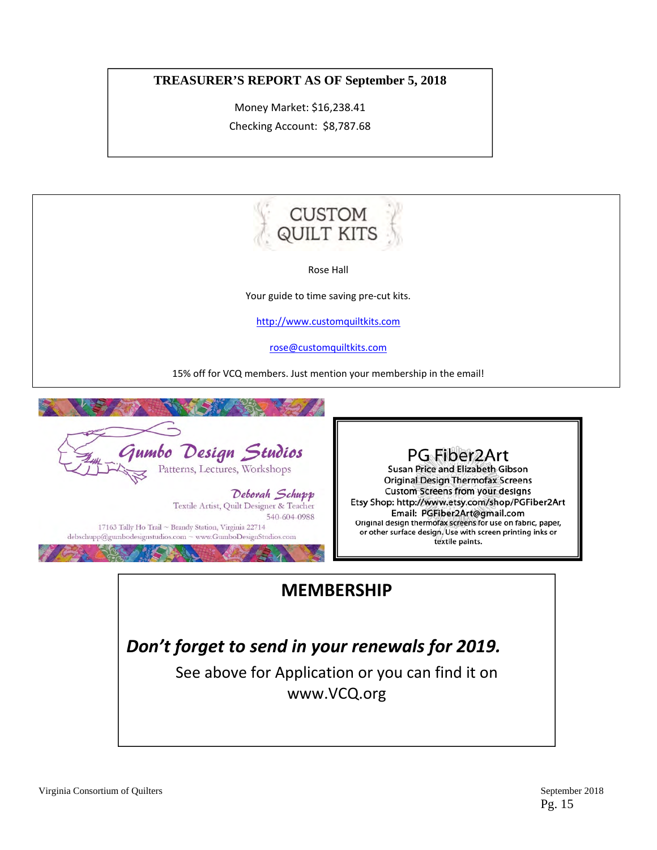## **TREASURER'S REPORT AS OF September 5, 2018**

Money Market: \$16,238.41 Checking Account: \$8,787.68